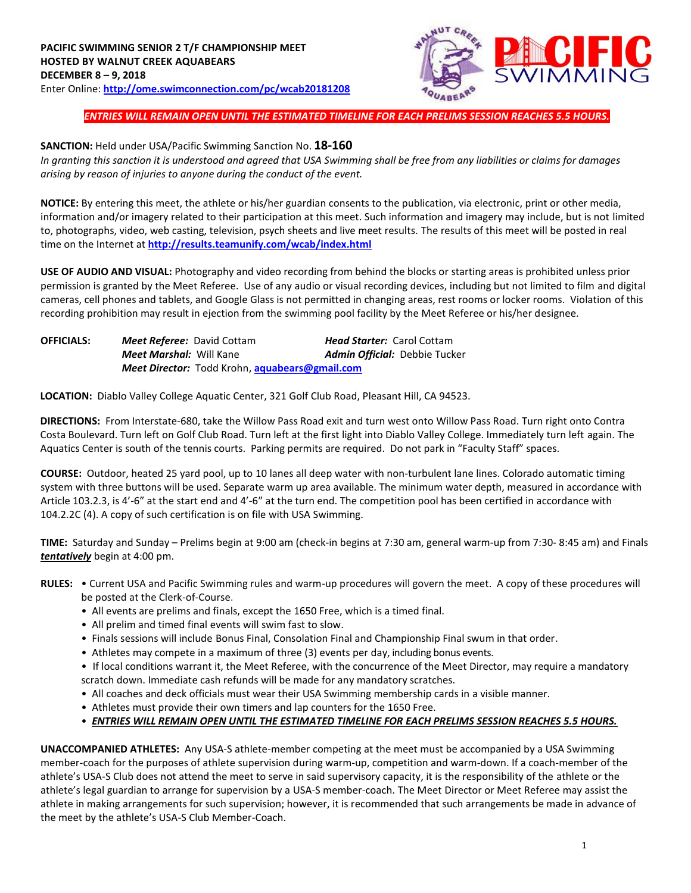

*ENTRIES WILL REMAIN OPEN UNTIL THE ESTIMATED TIMELINE FOR EACH PRELIMS SESSION REACHES 5.5 HOURS.*

## **SANCTION:** Held under USA/Pacific Swimming Sanction No. **18-160**

*In granting this sanction it is understood and agreed that USA Swimming shall be free from any liabilities or claims for damages arising by reason of injuries to anyone during the conduct of the event.* 

**NOTICE:** By entering this meet, the athlete or his/her guardian consents to the publication, via electronic, print or other media, information and/or imagery related to their participation at this meet. Such information and imagery may include, but is not limited to, photographs, video, web casting, television, psych sheets and live meet results. The results of this meet will be posted in real time on the Internet at **<http://results.teamunify.com/wcab/index.html>**

**USE OF AUDIO AND VISUAL:** Photography and video recording from behind the blocks or starting areas is prohibited unless prior permission is granted by the Meet Referee. Use of any audio or visual recording devices, including but not limited to film and digital cameras, cell phones and tablets, and Google Glass is not permitted in changing areas, rest rooms or locker rooms. Violation of this recording prohibition may result in ejection from the swimming pool facility by the Meet Referee or his/her designee.

| <b>OFFICIALS:</b> | <b>Meet Referee:</b> David Cottam                            | <b>Head Starter: Carol Cottam</b> |
|-------------------|--------------------------------------------------------------|-----------------------------------|
|                   | <b>Meet Marshal: Will Kane</b>                               | Admin Official: Debbie Tucker     |
|                   | <b>Meet Director:</b> Todd Krohn, <b>aquabears@gmail.com</b> |                                   |

**LOCATION:** Diablo Valley College Aquatic Center, 321 Golf Club Road, Pleasant Hill, CA 94523.

**DIRECTIONS:** From Interstate‐680, take the Willow Pass Road exit and turn west onto Willow Pass Road. Turn right onto Contra Costa Boulevard. Turn left on Golf Club Road. Turn left at the first light into Diablo Valley College. Immediately turn left again. The Aquatics Center is south of the tennis courts. Parking permits are required. Do not park in "Faculty Staff" spaces.

**COURSE:** Outdoor, heated 25 yard pool, up to 10 lanes all deep water with non‐turbulent lane lines. Colorado automatic timing system with three buttons will be used. Separate warm up area available. The minimum water depth, measured in accordance with Article 103.2.3, is 4'-6" at the start end and 4'-6" at the turn end. The competition pool has been certified in accordance with 104.2.2C (4). A copy of such certification is on file with USA Swimming.

**TIME:** Saturday and Sunday – Prelims begin at 9:00 am (check-in begins at 7:30 am, general warm-up from 7:30- 8:45 am) and Finals *tentatively* begin at 4:00 pm.

- **RULES:** Current USA and Pacific Swimming rules and warm-up procedures will govern the meet. A copy of these procedures will be posted at the Clerk-of-Course.
	- All events are prelims and finals, except the 1650 Free, which is a timed final.
	- All prelim and timed final events will swim fast to slow.
	- Finals sessions will include Bonus Final, Consolation Final and Championship Final swum in that order.
	- Athletes may compete in a maximum of three (3) events per day, including bonus events.

• If local conditions warrant it, the Meet Referee, with the concurrence of the Meet Director, may require a mandatory scratch down. Immediate cash refunds will be made for any mandatory scratches.

- All coaches and deck officials must wear their USA Swimming membership cards in a visible manner.
- Athletes must provide their own timers and lap counters for the 1650 Free.
- *ENTRIES WILL REMAIN OPEN UNTIL THE ESTIMATED TIMELINE FOR EACH PRELIMS SESSION REACHES 5.5 HOURS.*

**UNACCOMPANIED ATHLETES:** Any USA-S athlete-member competing at the meet must be accompanied by a USA Swimming member-coach for the purposes of athlete supervision during warm-up, competition and warm-down. If a coach-member of the athlete's USA-S Club does not attend the meet to serve in said supervisory capacity, it is the responsibility of the athlete or the athlete's legal guardian to arrange for supervision by a USA-S member-coach. The Meet Director or Meet Referee may assist the athlete in making arrangements for such supervision; however, it is recommended that such arrangements be made in advance of the meet by the athlete's USA-S Club Member-Coach.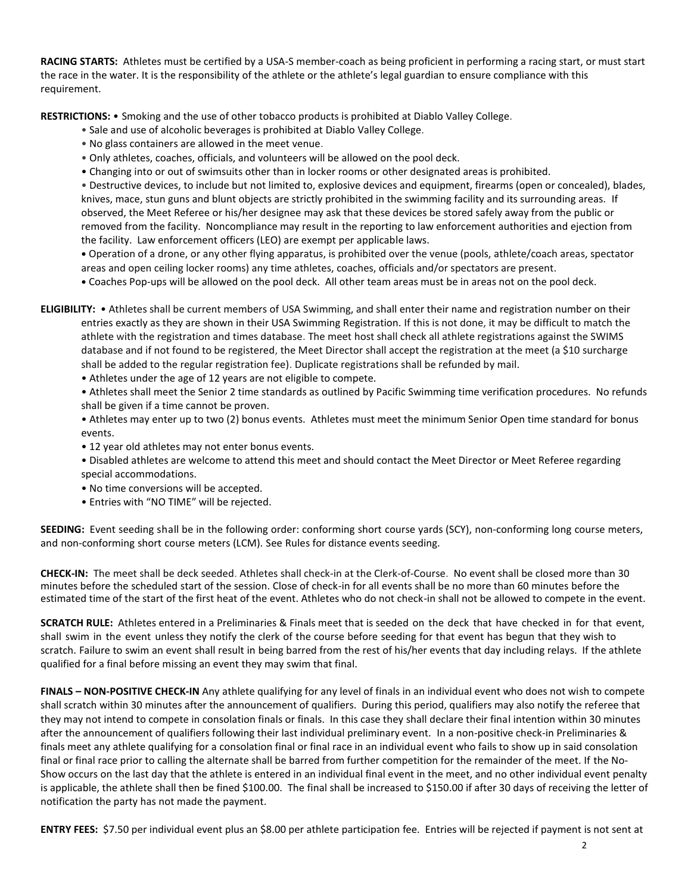**RACING STARTS:** Athletes must be certified by a USA-S member-coach as being proficient in performing a racing start, or must start the race in the water. It is the responsibility of the athlete or the athlete's legal guardian to ensure compliance with this requirement.

**RESTRICTIONS:** • Smoking and the use of other tobacco products is prohibited at Diablo Valley College.

- Sale and use of alcoholic beverages is prohibited at Diablo Valley College.
- No glass containers are allowed in the meet venue.
- Only athletes, coaches, officials, and volunteers will be allowed on the pool deck.
- Changing into or out of swimsuits other than in locker rooms or other designated areas is prohibited.

• Destructive devices, to include but not limited to, explosive devices and equipment, firearms (open or concealed), blades, knives, mace, stun guns and blunt objects are strictly prohibited in the swimming facility and its surrounding areas. If observed, the Meet Referee or his/her designee may ask that these devices be stored safely away from the public or removed from the facility. Noncompliance may result in the reporting to law enforcement authorities and ejection from the facility. Law enforcement officers (LEO) are exempt per applicable laws.

**•** Operation of a drone, or any other flying apparatus, is prohibited over the venue (pools, athlete/coach areas, spectator areas and open ceiling locker rooms) any time athletes, coaches, officials and/or spectators are present.

**•** Coaches Pop-ups will be allowed on the pool deck. All other team areas must be in areas not on the pool deck.

**ELIGIBILITY:** • Athletes shall be current members of USA Swimming, and shall enter their name and registration number on their entries exactly as they are shown in their USA Swimming Registration. If this is not done, it may be difficult to match the athlete with the registration and times database. The meet host shall check all athlete registrations against the SWIMS database and if not found to be registered, the Meet Director shall accept the registration at the meet (a \$10 surcharge shall be added to the regular registration fee). Duplicate registrations shall be refunded by mail.

• Athletes under the age of 12 years are not eligible to compete.

• Athletes shall meet the Senior 2 time standards as outlined by Pacific Swimming time verification procedures. No refunds shall be given if a time cannot be proven.

• Athletes may enter up to two (2) bonus events. Athletes must meet the minimum Senior Open time standard for bonus events.

• 12 year old athletes may not enter bonus events.

• Disabled athletes are welcome to attend this meet and should contact the Meet Director or Meet Referee regarding special accommodations.

- No time conversions will be accepted.
- Entries with "NO TIME" will be rejected.

**SEEDING:** Event seeding shall be in the following order: conforming short course yards (SCY), non-conforming long course meters, and non-conforming short course meters (LCM). See Rules for distance events seeding.

**CHECK-IN:** The meet shall be deck seeded. Athletes shall check-in at the Clerk-of-Course. No event shall be closed more than 30 minutes before the scheduled start of the session. Close of check‐in for all events shall be no more than 60 minutes before the estimated time of the start of the first heat of the event. Athletes who do not check-in shall not be allowed to compete in the event.

**SCRATCH RULE:** Athletes entered in a Preliminaries & Finals meet that is seeded on the deck that have checked in for that event, shall swim in the event unless they notify the clerk of the course before seeding for that event has begun that they wish to scratch. Failure to swim an event shall result in being barred from the rest of his/her events that day including relays. If the athlete qualified for a final before missing an event they may swim that final.

**FINALS – NON-POSITIVE CHECK-IN** Any athlete qualifying for any level of finals in an individual event who does not wish to compete shall scratch within 30 minutes after the announcement of qualifiers. During this period, qualifiers may also notify the referee that they may not intend to compete in consolation finals or finals. In this case they shall declare their final intention within 30 minutes after the announcement of qualifiers following their last individual preliminary event. In a non-positive check-in Preliminaries & finals meet any athlete qualifying for a consolation final or final race in an individual event who fails to show up in said consolation final or final race prior to calling the alternate shall be barred from further competition for the remainder of the meet. If the No-Show occurs on the last day that the athlete is entered in an individual final event in the meet, and no other individual event penalty is applicable, the athlete shall then be fined \$100.00. The final shall be increased to \$150.00 if after 30 days of receiving the letter of notification the party has not made the payment.

**ENTRY FEES:** \$7.50 per individual event plus an \$8.00 per athlete participation fee. Entries will be rejected if payment is not sent at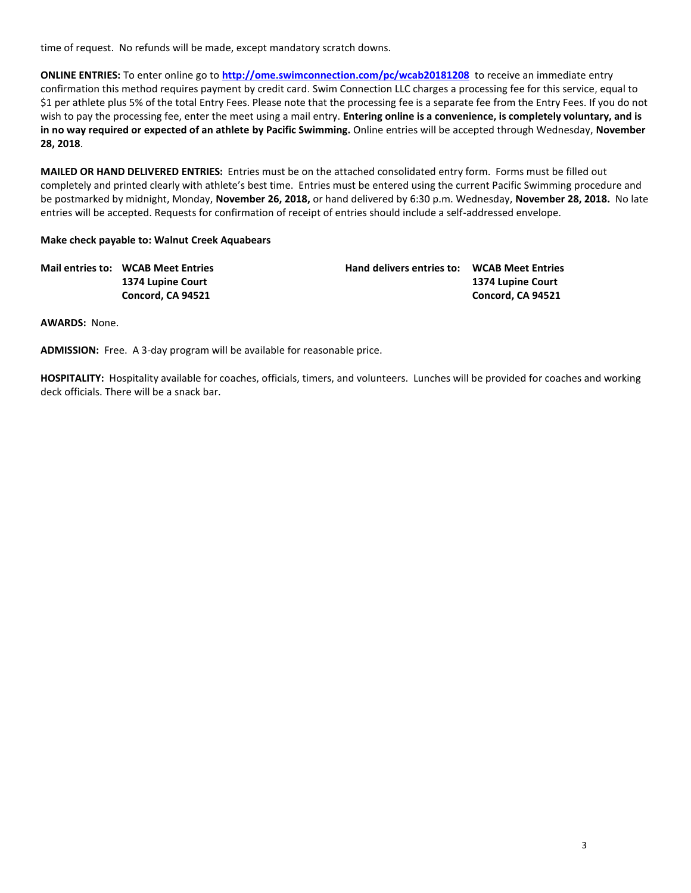time of request. No refunds will be made, except mandatory scratch downs.

**ONLINE ENTRIES:** To enter online go to **<http://ome.swimconnection.com/pc/wcab20181208>** to receive an immediate entry confirmation this method requires payment by credit card. Swim Connection LLC charges a processing fee for this service, equal to \$1 per athlete plus 5% of the total Entry Fees. Please note that the processing fee is a separate fee from the Entry Fees. If you do not wish to pay the processing fee, enter the meet using a mail entry. **Entering online is a convenience, is completely voluntary, and is in no way required or expected of an athlete by Pacific Swimming.** Online entries will be accepted through Wednesday, **November 28, 2018**.

**MAILED OR HAND DELIVERED ENTRIES:** Entries must be on the attached consolidated entry form. Forms must be filled out completely and printed clearly with athlete's best time. Entries must be entered using the current Pacific Swimming procedure and be postmarked by midnight, Monday, **November 26, 2018,** or hand delivered by 6:30 p.m. Wednesday, **November 28, 2018.** No late entries will be accepted. Requests for confirmation of receipt of entries should include a self-addressed envelope.

## **Make check payable to: Walnut Creek Aquabears**

| <b>Mail entries to: WCAB Meet Entries</b> | <b>Hand delivers entries to: WCAB Meet Entries</b> |                   |
|-------------------------------------------|----------------------------------------------------|-------------------|
| 1374 Lupine Court                         |                                                    | 1374 Lupine Court |
| Concord, CA 94521                         |                                                    | Concord, CA 94521 |

**AWARDS:** None.

**ADMISSION:** Free. A 3-day program will be available for reasonable price.

**HOSPITALITY:** Hospitality available for coaches, officials, timers, and volunteers. Lunches will be provided for coaches and working deck officials. There will be a snack bar.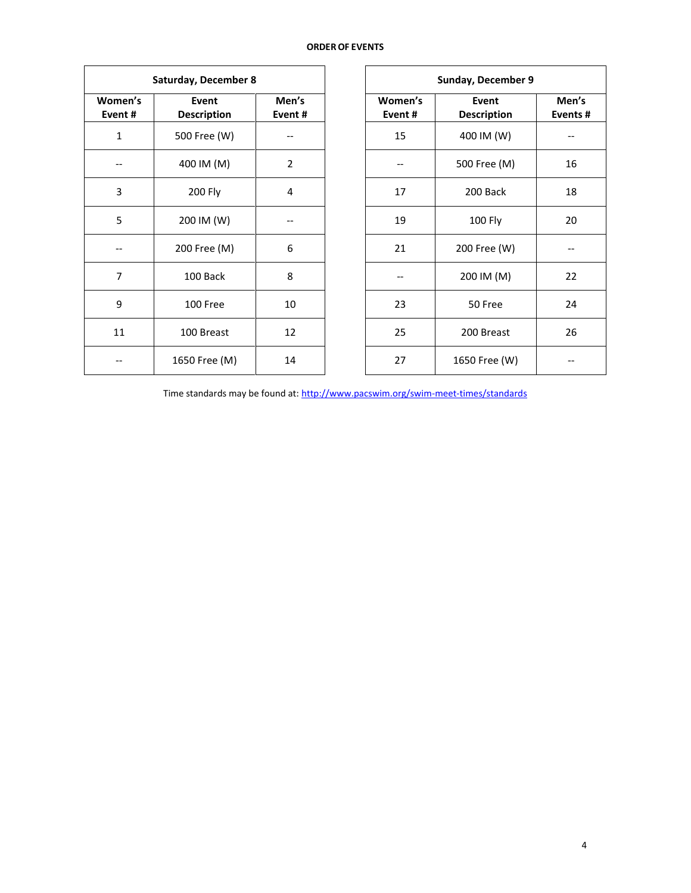## **ORDEROF EVENTS**

|                   | Saturday, December 8        |                 |                   | Sunday, December 9          |                          |
|-------------------|-----------------------------|-----------------|-------------------|-----------------------------|--------------------------|
| Women's<br>Event# | Event<br><b>Description</b> | Men's<br>Event# | Women's<br>Event# | Event<br><b>Description</b> | Men<br>Event             |
| $\mathbf{1}$      | 500 Free (W)                |                 | 15                | 400 IM (W)                  |                          |
|                   | 400 IM (M)                  | $\overline{2}$  |                   | 500 Free (M)                | 16                       |
| 3                 | <b>200 Fly</b>              | 4               | 17                | 200 Back                    | 18                       |
| 5                 | 200 IM (W)                  |                 | 19                | 100 Fly                     | 20                       |
|                   | 200 Free (M)                | 6               | 21                | 200 Free (W)                | $\overline{\phantom{a}}$ |
| $\overline{7}$    | 100 Back                    | 8               |                   | 200 IM (M)                  | 22                       |
| 9                 | 100 Free                    | 10              | 23                | 50 Free                     | 24                       |
| 11                | 100 Breast                  | 12              | 25                | 200 Breast                  | 26                       |
|                   | 1650 Free (M)               | 14              | 27                | 1650 Free (W)               |                          |

| Sunday, December 9 |                             |                  |  |  |  |  |  |  |
|--------------------|-----------------------------|------------------|--|--|--|--|--|--|
| Women's<br>Event#  | Event<br><b>Description</b> | Men's<br>Events# |  |  |  |  |  |  |
| 15                 | 400 IM (W)                  |                  |  |  |  |  |  |  |
|                    | 500 Free (M)                | 16               |  |  |  |  |  |  |
| 17                 | 200 Back                    |                  |  |  |  |  |  |  |
| 19                 | <b>100 Fly</b>              | 20               |  |  |  |  |  |  |
| 21                 | 200 Free (W)                |                  |  |  |  |  |  |  |
|                    | 200 IM (M)                  | 22               |  |  |  |  |  |  |
| 23                 | 50 Free                     | 24               |  |  |  |  |  |  |
| 25                 | 200 Breast                  | 26               |  |  |  |  |  |  |
| 27                 | 1650 Free (W)               |                  |  |  |  |  |  |  |

Time standards may be found at[: http://www.pacswim.org/swim-meet-times/standards](http://www.pacswim.org/swim-meet-times/standards)